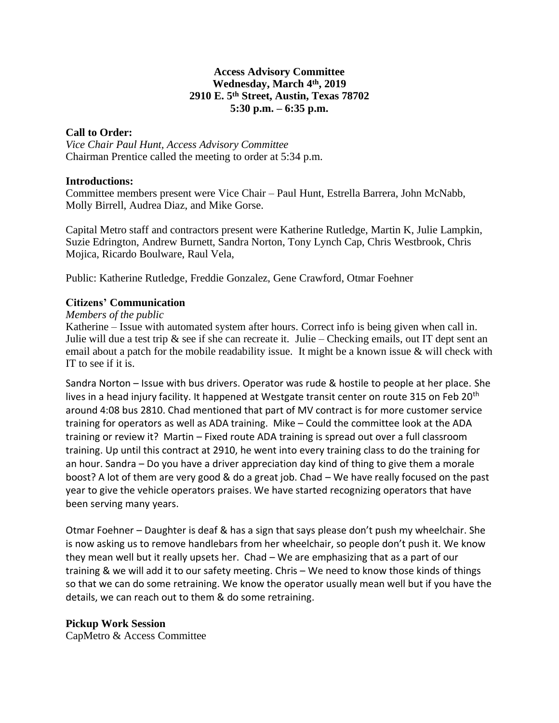## **Access Advisory Committee Wednesday, March 4 th, 2019 2910 E. 5th Street, Austin, Texas 78702 5:30 p.m. – 6:35 p.m.**

# **Call to Order:**

*Vice Chair Paul Hunt, Access Advisory Committee* Chairman Prentice called the meeting to order at 5:34 p.m.

### **Introductions:**

Committee members present were Vice Chair – Paul Hunt, Estrella Barrera, John McNabb, Molly Birrell, Audrea Diaz, and Mike Gorse.

Capital Metro staff and contractors present were Katherine Rutledge, Martin K, Julie Lampkin, Suzie Edrington, Andrew Burnett, Sandra Norton, Tony Lynch Cap, Chris Westbrook, Chris Mojica, Ricardo Boulware, Raul Vela,

Public: Katherine Rutledge, Freddie Gonzalez, Gene Crawford, Otmar Foehner

## **Citizens' Communication**

## *Members of the public*

Katherine – Issue with automated system after hours. Correct info is being given when call in. Julie will due a test trip & see if she can recreate it. Julie – Checking emails, out IT dept sent an email about a patch for the mobile readability issue. It might be a known issue  $\&$  will check with IT to see if it is.

Sandra Norton – Issue with bus drivers. Operator was rude & hostile to people at her place. She lives in a head injury facility. It happened at Westgate transit center on route 315 on Feb 20<sup>th</sup> around 4:08 bus 2810. Chad mentioned that part of MV contract is for more customer service training for operators as well as ADA training. Mike – Could the committee look at the ADA training or review it? Martin – Fixed route ADA training is spread out over a full classroom training. Up until this contract at 2910, he went into every training class to do the training for an hour. Sandra – Do you have a driver appreciation day kind of thing to give them a morale boost? A lot of them are very good & do a great job. Chad – We have really focused on the past year to give the vehicle operators praises. We have started recognizing operators that have been serving many years.

Otmar Foehner – Daughter is deaf & has a sign that says please don't push my wheelchair. She is now asking us to remove handlebars from her wheelchair, so people don't push it. We know they mean well but it really upsets her. Chad – We are emphasizing that as a part of our training & we will add it to our safety meeting. Chris – We need to know those kinds of things so that we can do some retraining. We know the operator usually mean well but if you have the details, we can reach out to them & do some retraining.

## **Pickup Work Session**

CapMetro & Access Committee